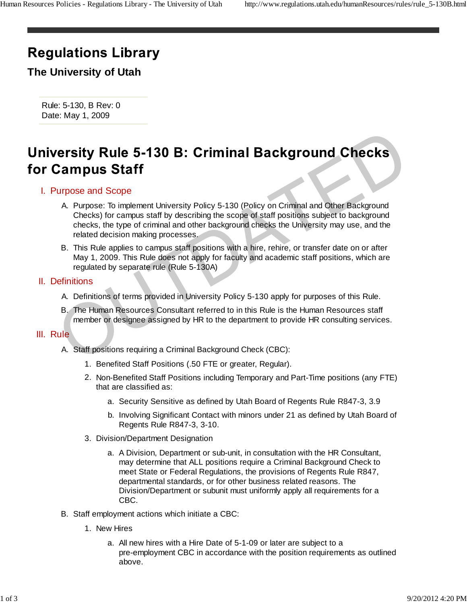# **Regulations Library**

**The University of Utah**

Rule: 5-130, B Rev: 0 Date: May 1, 2009

- I. Purpose and Scope
- A. Purpose: To implement University Policy 5-130 (Policy on Criminal and Other Background Checks) for campus staff by describing the scope of staff positions subject to background checks, the type of criminal and other background checks the University may use, and the related decision making processes. **Example 5-130 B: Criminal Background Checks**<br> **Campus Staff**<br>
Urpose and Scope<br>
A. Purpose: To implement University Policy 5-130 (Policy on Criminal and Other Background<br>
Checks) for campus staff by describing the scope o
	- B. This Rule applies to campus staff positions with a hire, rehire, or transfer date on or after May 1, 2009. This Rule does not apply for faculty and academic staff positions, which are regulated by separate rule (Rule 5-130A)

## II. Definitions

- A. Definitions of terms provided in University Policy 5-130 apply for purposes of this Rule.
- B. The Human Resources Consultant referred to in this Rule is the Human Resources staff member or designee assigned by HR to the department to provide HR consulting services.

### III. Rule

- A. Staff positions requiring a Criminal Background Check (CBC):
	- 1. Benefited Staff Positions (.50 FTE or greater, Regular).
	- 2. Non-Benefited Staff Positions including Temporary and Part-Time positions (any FTE) that are classified as:
		- a. Security Sensitive as defined by Utah Board of Regents Rule R847-3, 3.9
		- b. Involving Significant Contact with minors under 21 as defined by Utah Board of Regents Rule R847-3, 3-10.
	- 3. Division/Department Designation
		- a. A Division, Department or sub-unit, in consultation with the HR Consultant, may determine that ALL positions require a Criminal Background Check to meet State or Federal Regulations, the provisions of Regents Rule R847, departmental standards, or for other business related reasons. The Division/Department or subunit must uniformly apply all requirements for a CBC.
- B. Staff employment actions which initiate a CBC:
	- 1. New Hires
		- a. All new hires with a Hire Date of 5-1-09 or later are subject to a pre-employment CBC in accordance with the position requirements as outlined above.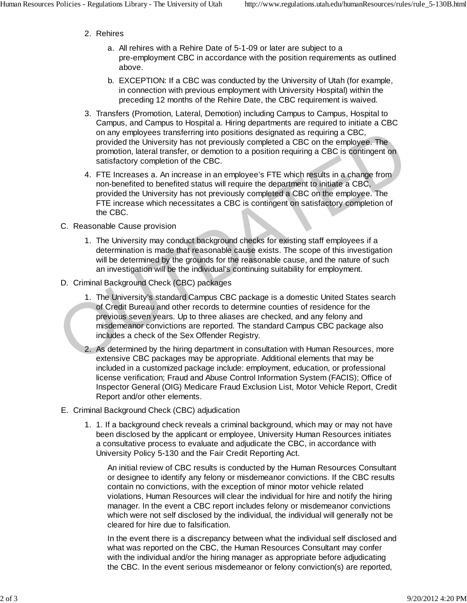- 2. Rehires
	- a. All rehires with a Rehire Date of 5-1-09 or later are subject to a pre-employment CBC in accordance with the position requirements as outlined above.
	- EXCEPTION: If a CBC was conducted by the University of Utah (for example, b. in connection with previous employment with University Hospital) within the preceding 12 months of the Rehire Date, the CBC requirement is waived.
- 3. Transfers (Promotion, Lateral, Demotion) including Campus to Campus, Hospital to Campus, and Campus to Hospital a. Hiring departments are required to initiate a CBC on any employees transferring into positions designated as requiring a CBC, provided the University has not previously completed a CBC on the employee. The promotion, lateral transfer, or demotion to a position requiring a CBC is contingent on satisfactory completion of the CBC.
- FTE Increases a. An increase in an employee's FTE which results in a change from 4. non-benefited to benefited status will require the department to initiate a CBC, provided the University has not previously completed a CBC on the employee. The FTE increase which necessitates a CBC is contingent on satisfactory completion of the CBC.
- C. Reasonable Cause provision
	- 1. The University may conduct background checks for existing staff employees if a determination is made that reasonable cause exists. The scope of this investigation will be determined by the grounds for the reasonable cause, and the nature of such an investigation will be the individual's continuing suitability for employment.
- D. Criminal Background Check (CBC) packages
- 1. The University's standard Campus CBC package is a domestic United States search of Credit Bureau and other records to determine counties of residence for the previous seven years. Up to three aliases are checked, and any felony and misdemeanor convictions are reported. The standard Campus CBC package also includes a check of the Sex Offender Registry. or any employees transferring into positions designated as requiring a CBC,<br>provided the University has not previously completed a CBC on the employee. The<br>promotion, lateral transfer, or demotion to a position requiring a
	- 2. As determined by the hiring department in consultation with Human Resources, more extensive CBC packages may be appropriate. Additional elements that may be included in a customized package include: employment, education, or professional license verification; Fraud and Abuse Control Information System (FACIS); Office of Inspector General (OIG) Medicare Fraud Exclusion List, Motor Vehicle Report, Credit Report and/or other elements.
	- E. Criminal Background Check (CBC) adjudication
		- 1. If a background check reveals a criminal background, which may or may not have 1. been disclosed by the applicant or employee, University Human Resources initiates a consultative process to evaluate and adjudicate the CBC, in accordance with University Policy 5-130 and the Fair Credit Reporting Act.

An initial review of CBC results is conducted by the Human Resources Consultant or designee to identify any felony or misdemeanor convictions. If the CBC results contain no convictions, with the exception of minor motor vehicle related violations, Human Resources will clear the individual for hire and notify the hiring manager. In the event a CBC report includes felony or misdemeanor convictions which were not self disclosed by the individual, the individual will generally not be cleared for hire due to falsification.

In the event there is a discrepancy between what the individual self disclosed and what was reported on the CBC, the Human Resources Consultant may confer with the individual and/or the hiring manager as appropriate before adjudicating the CBC. In the event serious misdemeanor or felony conviction(s) are reported,